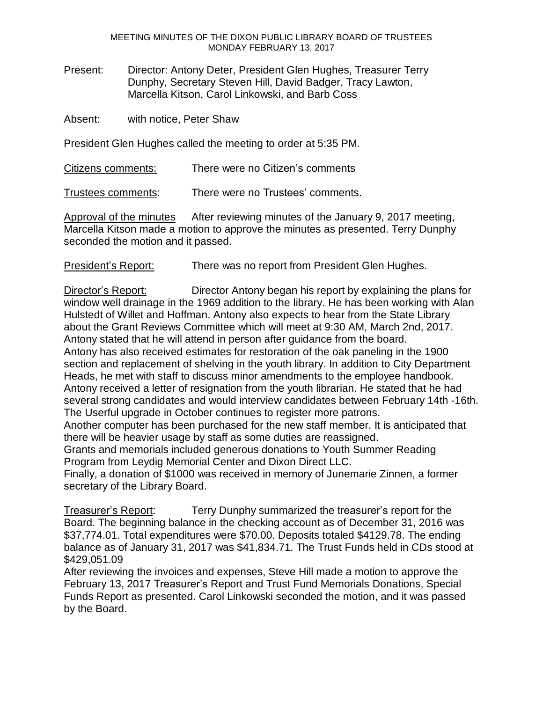MEETING MINUTES OF THE DIXON PUBLIC LIBRARY BOARD OF TRUSTEES MONDAY FEBRUARY 13, 2017

Present: Director: Antony Deter, President Glen Hughes, Treasurer Terry Dunphy, Secretary Steven Hill, David Badger, Tracy Lawton, Marcella Kitson, Carol Linkowski, and Barb Coss

Absent: with notice, Peter Shaw

President Glen Hughes called the meeting to order at 5:35 PM.

Citizens comments: There were no Citizen's comments

Trustees comments: There were no Trustees' comments.

Approval of the minutes After reviewing minutes of the January 9, 2017 meeting, Marcella Kitson made a motion to approve the minutes as presented. Terry Dunphy seconded the motion and it passed.

President's Report: There was no report from President Glen Hughes.

Director's Report: Director Antony began his report by explaining the plans for window well drainage in the 1969 addition to the library. He has been working with Alan Hulstedt of Willet and Hoffman. Antony also expects to hear from the State Library about the Grant Reviews Committee which will meet at 9:30 AM, March 2nd, 2017. Antony stated that he will attend in person after guidance from the board. Antony has also received estimates for restoration of the oak paneling in the 1900 section and replacement of shelving in the youth library. In addition to City Department Heads, he met with staff to discuss minor amendments to the employee handbook. Antony received a letter of resignation from the youth librarian. He stated that he had several strong candidates and would interview candidates between February 14th -16th. The Userful upgrade in October continues to register more patrons.

Another computer has been purchased for the new staff member. It is anticipated that there will be heavier usage by staff as some duties are reassigned.

Grants and memorials included generous donations to Youth Summer Reading Program from Leydig Memorial Center and Dixon Direct LLC.

Finally, a donation of \$1000 was received in memory of Junemarie Zinnen, a former secretary of the Library Board.

Treasurer's Report: Terry Dunphy summarized the treasurer's report for the Board. The beginning balance in the checking account as of December 31, 2016 was \$37,774.01. Total expenditures were \$70.00. Deposits totaled \$4129.78. The ending balance as of January 31, 2017 was \$41,834.71. The Trust Funds held in CDs stood at \$429,051.09

After reviewing the invoices and expenses, Steve Hill made a motion to approve the February 13, 2017 Treasurer's Report and Trust Fund Memorials Donations, Special Funds Report as presented. Carol Linkowski seconded the motion, and it was passed by the Board.